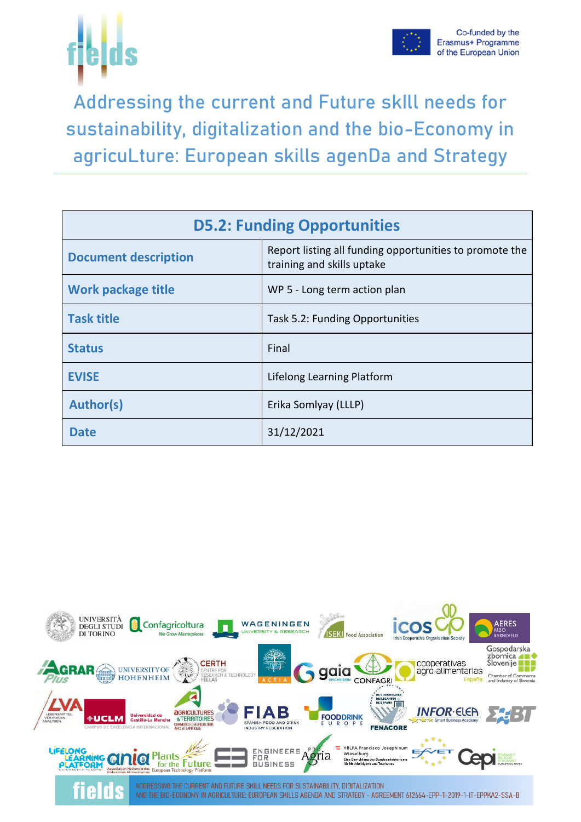



Addressing the current and Future skIll needs for sustainability, digitalization and the bio-Economy in agricuLture: European skills agenDa and Strategy

| <b>D5.2: Funding Opportunities</b> |                                                                                       |  |  |  |  |  |  |  |
|------------------------------------|---------------------------------------------------------------------------------------|--|--|--|--|--|--|--|
| <b>Document description</b>        | Report listing all funding opportunities to promote the<br>training and skills uptake |  |  |  |  |  |  |  |
| <b>Work package title</b>          | WP 5 - Long term action plan                                                          |  |  |  |  |  |  |  |
| <b>Task title</b>                  | Task 5.2: Funding Opportunities                                                       |  |  |  |  |  |  |  |
| <b>Status</b>                      | Final                                                                                 |  |  |  |  |  |  |  |
| <b>EVISE</b>                       | Lifelong Learning Platform                                                            |  |  |  |  |  |  |  |
| <b>Author(s)</b>                   | Erika Somlyay (LLLP)                                                                  |  |  |  |  |  |  |  |
| <b>Date</b>                        | 31/12/2021                                                                            |  |  |  |  |  |  |  |

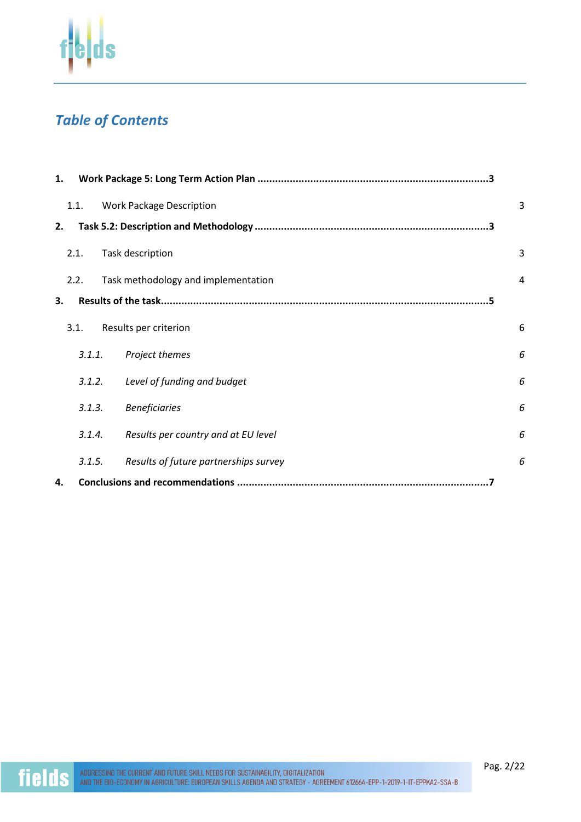

# *Table of Contents*

| 1. |        |                                       |   |
|----|--------|---------------------------------------|---|
|    | 1.1.   | <b>Work Package Description</b>       | 3 |
| 2. |        |                                       |   |
|    | 2.1.   | Task description                      | 3 |
|    | 2.2.   | Task methodology and implementation   | 4 |
| 3. |        |                                       |   |
|    | 3.1.   | Results per criterion                 | 6 |
|    | 3.1.1. | Project themes                        | 6 |
|    | 3.1.2. | Level of funding and budget           | 6 |
|    | 3.1.3. | <b>Beneficiaries</b>                  | 6 |
|    | 3.1.4. | Results per country and at EU level   | 6 |
|    | 3.1.5. | Results of future partnerships survey | 6 |
| 4. |        |                                       |   |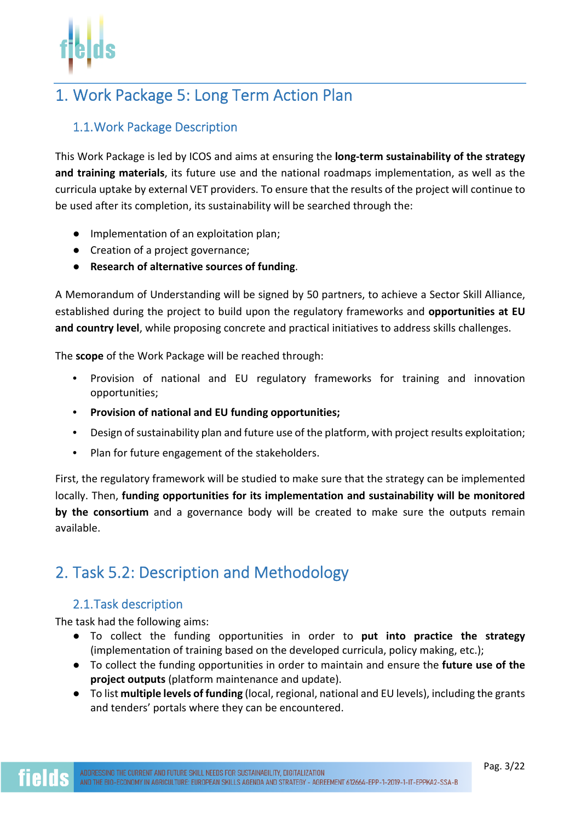# 1. Work Package 5: Long Term Action Plan

## 1.1.Work Package Description

This Work Package is led by ICOS and aims at ensuring the **long-term sustainability of the strategy and training materials**, its future use and the national roadmaps implementation, as well as the curricula uptake by external VET providers. To ensure that the results of the project will continue to be used after its completion, its sustainability will be searched through the:

- Implementation of an exploitation plan;
- Creation of a project governance;
- **Research of alternative sources of funding**.

A Memorandum of Understanding will be signed by 50 partners, to achieve a Sector Skill Alliance, established during the project to build upon the regulatory frameworks and **opportunities at EU and country level**, while proposing concrete and practical initiatives to address skills challenges.

The **scope** of the Work Package will be reached through:

- Provision of national and EU regulatory frameworks for training and innovation opportunities;
- **Provision of national and EU funding opportunities;**
- Design of sustainability plan and future use of the platform, with project results exploitation;
- Plan for future engagement of the stakeholders.

First, the regulatory framework will be studied to make sure that the strategy can be implemented locally. Then, **funding opportunities for its implementation and sustainability will be monitored by the consortium** and a governance body will be created to make sure the outputs remain available.

## 2. Task 5.2: Description and Methodology

### 2.1.Task description

The task had the following aims:

- To collect the funding opportunities in order to **put into practice the strategy** (implementation of training based on the developed curricula, policy making, etc.);
- To collect the funding opportunities in order to maintain and ensure the **future use of the project outputs** (platform maintenance and update).
- To list **multiple levels of funding** (local, regional, national and EU levels), including the grants and tenders' portals where they can be encountered.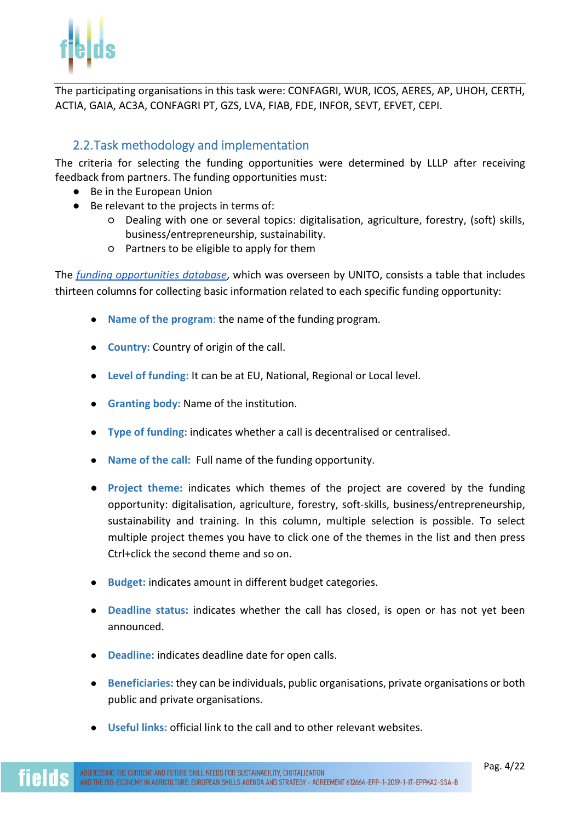

The participating organisations in this task were: CONFAGRI, WUR, ICOS, AERES, AP, UHOH, CERTH, ACTIA, GAIA, AC3A, CONFAGRI PT, GZS, LVA, FIAB, FDE, INFOR, SEVT, EFVET, CEPI.

## 2.2.Task methodology and implementation

The criteria for selecting the funding opportunities were determined by LLLP after receiving feedback from partners. The funding opportunities must:

- Be in the European Union
- Be relevant to the projects in terms of:
	- Dealing with one or several topics: digitalisation, agriculture, forestry, (soft) skills, business/entrepreneurship, sustainability.
	- Partners to be eligible to apply for them

The *funding opportunities database*, which was overseen by UNITO, consists a table that includes thirteen columns for collecting basic information related to each specific funding opportunity:

- **Name of the program**: the name of the funding program.
- **Country:** Country of origin of the call.
- **Level of funding:** It can be at EU, National, Regional or Local level.
- **Granting body:** Name of the institution.
- **Type of funding:** indicates whether a call is decentralised or centralised.
- **Name of the call:** Full name of the funding opportunity.
- **Project theme:** indicates which themes of the project are covered by the funding opportunity: digitalisation, agriculture, forestry, soft-skills, business/entrepreneurship, sustainability and training. In this column, multiple selection is possible. To select multiple project themes you have to click one of the themes in the list and then press Ctrl+click the second theme and so on.
- **Budget:** indicates amount in different budget categories.
- **Deadline status:** indicates whether the call has closed, is open or has not yet been announced.
- **Deadline:** indicates deadline date for open calls.
- **Beneficiaries:** they can be individuals, public organisations, private organisations or both public and private organisations.
- **Useful links:** official link to the call and to other relevant websites.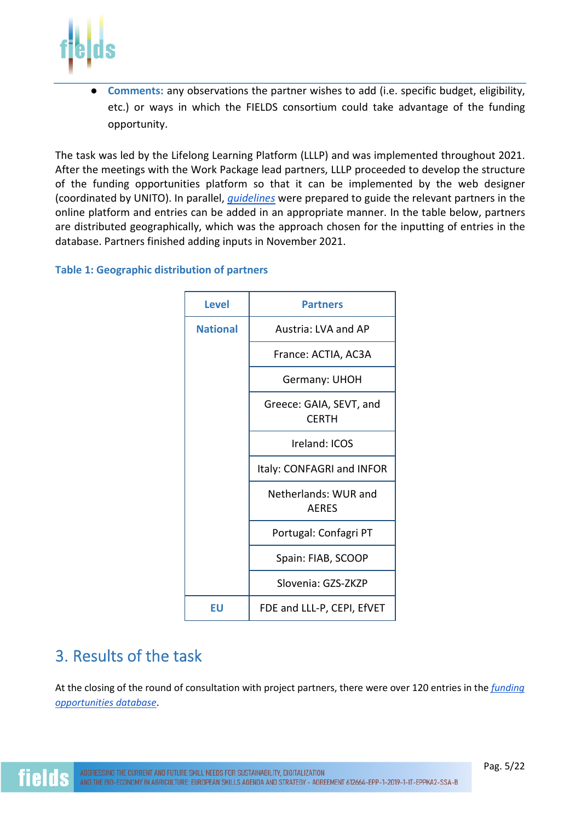

Comments: any observations the partner wishes to add (i.e. specific budget, eligibility, etc.) or ways in which the FIELDS consortium could take advantage of the funding opportunity.

The task was led by the Lifelong Learning Platform (LLLP) and was implemented throughout 2021. After the meetings with the Work Package lead partners, LLLP proceeded to develop the structure of the funding opportunities platform so that it can be implemented by the web designer (coordinated by UNITO). In parallel, *guidelines* were prepared to guide the relevant partners in the online platform and entries can be added in an appropriate manner. In the table below, partners are distributed geographically, which was the approach chosen for the inputting of entries in the database. Partners finished adding inputs in November 2021.

### **Table 1: Geographic distribution of partners**



## 3. Results of the task

At the closing of the round of consultation with project partners, there were over 120 entries in the *funding opportunities database*.

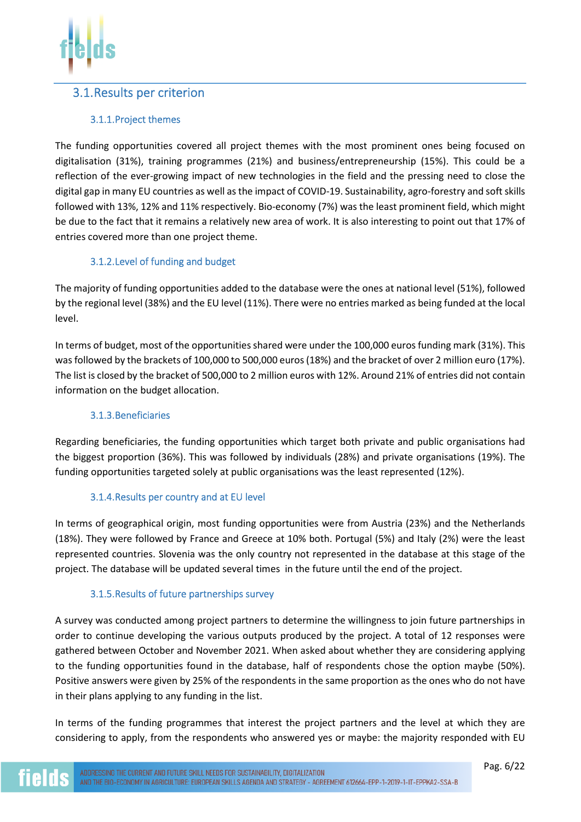### 3.1.Results per criterion

### 3.1.1.Project themes

The funding opportunities covered all project themes with the most prominent ones being focused on digitalisation (31%), training programmes (21%) and business/entrepreneurship (15%). This could be a reflection of the ever-growing impact of new technologies in the field and the pressing need to close the digital gap in many EU countries as well as the impact of COVID-19. Sustainability, agro-forestry and soft skills followed with 13%, 12% and 11% respectively. Bio-economy (7%) was the least prominent field, which might be due to the fact that it remains a relatively new area of work. It is also interesting to point out that 17% of entries covered more than one project theme.

### 3.1.2.Level of funding and budget

The majority of funding opportunities added to the database were the ones at national level (51%), followed by the regional level (38%) and the EU level (11%). There were no entries marked as being funded at the local level.

In terms of budget, most of the opportunities shared were under the 100,000 euros funding mark (31%). This was followed by the brackets of 100,000 to 500,000 euros (18%) and the bracket of over 2 million euro (17%). The list is closed by the bracket of 500,000 to 2 million euros with 12%. Around 21% of entries did not contain information on the budget allocation.

### 3.1.3.Beneficiaries

Regarding beneficiaries, the funding opportunities which target both private and public organisations had the biggest proportion (36%). This was followed by individuals (28%) and private organisations (19%). The funding opportunities targeted solely at public organisations was the least represented (12%).

### 3.1.4.Results per country and at EU level

In terms of geographical origin, most funding opportunities were from Austria (23%) and the Netherlands (18%). They were followed by France and Greece at 10% both. Portugal (5%) and Italy (2%) were the least represented countries. Slovenia was the only country not represented in the database at this stage of the project. The database will be updated several times in the future until the end of the project.

### 3.1.5.Results of future partnerships survey

A survey was conducted among project partners to determine the willingness to join future partnerships in order to continue developing the various outputs produced by the project. A total of 12 responses were gathered between October and November 2021. When asked about whether they are considering applying to the funding opportunities found in the database, half of respondents chose the option maybe (50%). Positive answers were given by 25% of the respondents in the same proportion as the ones who do not have in their plans applying to any funding in the list.

In terms of the funding programmes that interest the project partners and the level at which they are considering to apply, from the respondents who answered yes or maybe: the majority responded with EU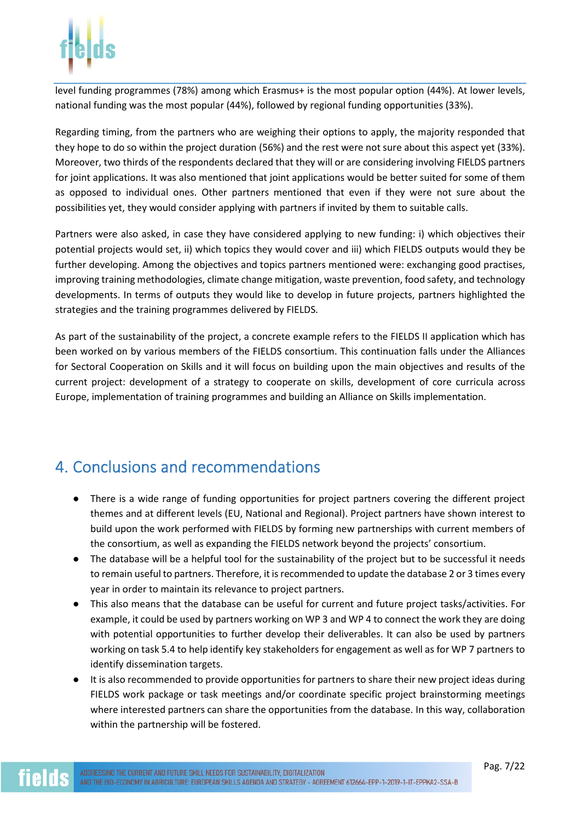

level funding programmes (78%) among which Erasmus+ is the most popular option (44%). At lower levels, national funding was the most popular (44%), followed by regional funding opportunities (33%).

Regarding timing, from the partners who are weighing their options to apply, the majority responded that they hope to do so within the project duration (56%) and the rest were not sure about this aspect yet (33%). Moreover, two thirds of the respondents declared that they will or are considering involving FIELDS partners for joint applications. It was also mentioned that joint applications would be better suited for some of them as opposed to individual ones. Other partners mentioned that even if they were not sure about the possibilities yet, they would consider applying with partners if invited by them to suitable calls.

Partners were also asked, in case they have considered applying to new funding: i) which objectives their potential projects would set, ii) which topics they would cover and iii) which FIELDS outputs would they be further developing. Among the objectives and topics partners mentioned were: exchanging good practises, improving training methodologies, climate change mitigation, waste prevention, food safety, and technology developments. In terms of outputs they would like to develop in future projects, partners highlighted the strategies and the training programmes delivered by FIELDS.

As part of the sustainability of the project, a concrete example refers to the FIELDS II application which has been worked on by various members of the FIELDS consortium. This continuation falls under the Alliances for Sectoral Cooperation on Skills and it will focus on building upon the main objectives and results of the current project: development of a strategy to cooperate on skills, development of core curricula across Europe, implementation of training programmes and building an Alliance on Skills implementation.

## 4. Conclusions and recommendations

- There is a wide range of funding opportunities for project partners covering the different project themes and at different levels (EU, National and Regional). Project partners have shown interest to build upon the work performed with FIELDS by forming new partnerships with current members of the consortium, as well as expanding the FIELDS network beyond the projects' consortium.
- The database will be a helpful tool for the sustainability of the project but to be successful it needs to remain useful to partners. Therefore, it is recommended to update the database 2 or 3 times every year in order to maintain its relevance to project partners.
- This also means that the database can be useful for current and future project tasks/activities. For example, it could be used by partners working on WP 3 and WP 4 to connect the work they are doing with potential opportunities to further develop their deliverables. It can also be used by partners working on task 5.4 to help identify key stakeholders for engagement as well as for WP 7 partners to identify dissemination targets.
- It is also recommended to provide opportunities for partners to share their new project ideas during FIELDS work package or task meetings and/or coordinate specific project brainstorming meetings where interested partners can share the opportunities from the database. In this way, collaboration within the partnership will be fostered.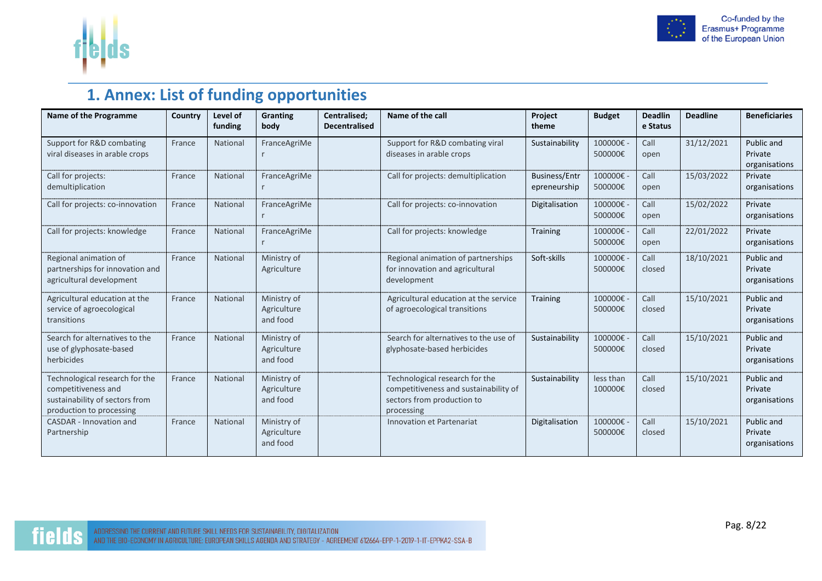



# **1. Annex: List of funding opportunities**

| Name of the Programme                                                                                               | Country | Level of<br>funding | <b>Granting</b><br>body                | Centralised;<br><b>Decentralised</b> | Name of the call                                                                                                    | Project<br>theme                     | <b>Budget</b>        | <b>Deadlin</b><br>e Status | <b>Deadline</b> | <b>Beneficiaries</b>                   |
|---------------------------------------------------------------------------------------------------------------------|---------|---------------------|----------------------------------------|--------------------------------------|---------------------------------------------------------------------------------------------------------------------|--------------------------------------|----------------------|----------------------------|-----------------|----------------------------------------|
| Support for R&D combating<br>viral diseases in arable crops                                                         | France  | National            | FranceAgriMe                           |                                      | Support for R&D combating viral<br>diseases in arable crops                                                         | Sustainability                       | 100000€ -<br>500000€ | Call<br>open               | 31/12/2021      | Public and<br>Private<br>organisations |
| Call for projects:<br>demultiplication                                                                              | France  | National            | FranceAgriMe                           |                                      | Call for projects: demultiplication                                                                                 | <b>Business/Entr</b><br>epreneurship | 100000€-<br>500000€  | Call<br>open               | 15/03/2022      | Private<br>organisations               |
| Call for projects: co-innovation                                                                                    | France  | National            | FranceAgriMe                           |                                      | Call for projects: co-innovation                                                                                    | Digitalisation                       | 100000€-<br>500000€  | Call<br>open               | 15/02/2022      | Private<br>organisations               |
| Call for projects: knowledge                                                                                        | France  | National            | FranceAgriMe                           |                                      | Call for projects: knowledge                                                                                        | <b>Training</b>                      | 100000€-<br>500000€  | Call<br>open               | 22/01/2022      | Private<br>organisations               |
| Regional animation of<br>partnerships for innovation and<br>agricultural development                                | France  | National            | Ministry of<br>Agriculture             |                                      | Regional animation of partnerships<br>for innovation and agricultural<br>development                                | Soft-skills                          | 100000€ -<br>500000€ | Call<br>closed             | 18/10/2021      | Public and<br>Private<br>organisations |
| Agricultural education at the<br>service of agroecological<br>transitions                                           | France  | National            | Ministry of<br>Agriculture<br>and food |                                      | Agricultural education at the service<br>of agroecological transitions                                              | <b>Training</b>                      | 100000€ -<br>500000€ | Call<br>closed             | 15/10/2021      | Public and<br>Private<br>organisations |
| Search for alternatives to the<br>use of glyphosate-based<br>herbicides                                             | France  | National            | Ministry of<br>Agriculture<br>and food |                                      | Search for alternatives to the use of<br>glyphosate-based herbicides                                                | Sustainability                       | 100000€-<br>500000€  | Call<br>closed             | 15/10/2021      | Public and<br>Private<br>organisations |
| Technological research for the<br>competitiveness and<br>sustainability of sectors from<br>production to processing | France  | National            | Ministry of<br>Agriculture<br>and food |                                      | Technological research for the<br>competitiveness and sustainability of<br>sectors from production to<br>processing | Sustainability                       | less than<br>100000€ | Call<br>closed             | 15/10/2021      | Public and<br>Private<br>organisations |
| <b>CASDAR - Innovation and</b><br>Partnership                                                                       | France  | National            | Ministry of<br>Agriculture<br>and food |                                      | <b>Innovation et Partenariat</b>                                                                                    | Digitalisation                       | 100000€ -<br>500000€ | Call<br>closed             | 15/10/2021      | Public and<br>Private<br>organisations |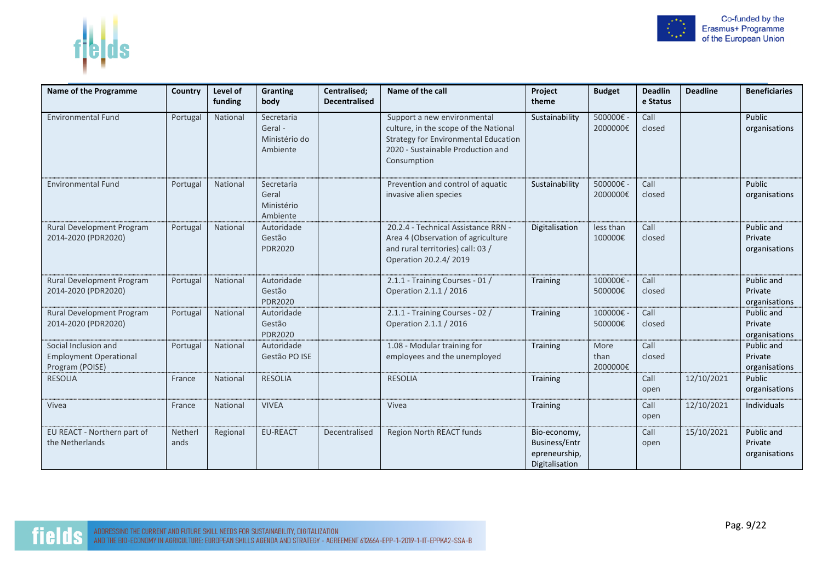

|--|--|

| Name of the Programme                                                    | Country         | Level of<br>funding | Granting<br>body                                   | Centralised;<br><b>Decentralised</b> | Name of the call                                                                                                                                                 | Project<br>theme                                                        | <b>Budget</b>            | <b>Deadlin</b><br>e Status | <b>Deadline</b> | <b>Beneficiaries</b>                   |
|--------------------------------------------------------------------------|-----------------|---------------------|----------------------------------------------------|--------------------------------------|------------------------------------------------------------------------------------------------------------------------------------------------------------------|-------------------------------------------------------------------------|--------------------------|----------------------------|-----------------|----------------------------------------|
| <b>Environmental Fund</b>                                                | Portugal        | National            | Secretaria<br>Geral -<br>Ministério do<br>Ambiente |                                      | Support a new environmental<br>culture, in the scope of the National<br>Strategy for Environmental Education<br>2020 - Sustainable Production and<br>Consumption | Sustainability                                                          | 500000€-<br>2000000€     | Call<br>closed             |                 | Public<br>organisations                |
| <b>Environmental Fund</b>                                                | Portugal        | National            | Secretaria<br>Geral<br>Ministério<br>Ambiente      |                                      | Prevention and control of aquatic<br>invasive alien species                                                                                                      | Sustainability                                                          | 500000€-<br>2000000€     | Call<br>closed             |                 | Public<br>organisations                |
| Rural Development Program<br>2014-2020 (PDR2020)                         | Portugal        | National            | Autoridade<br>Gestão<br><b>PDR2020</b>             |                                      | 20.2.4 - Technical Assistance RRN -<br>Area 4 (Observation of agriculture<br>and rural territories) call: 03 /<br>Operation 20.2.4/2019                          | Digitalisation                                                          | less than<br>100000€     | Call<br>closed             |                 | Public and<br>Private<br>organisations |
| Rural Development Program<br>2014-2020 (PDR2020)                         | Portugal        | National            | Autoridade<br>Gestão<br><b>PDR2020</b>             |                                      | 2.1.1 - Training Courses - 01 /<br>Operation 2.1.1 / 2016                                                                                                        | Training                                                                | 100000€-<br>500000€      | Call<br>closed             |                 | Public and<br>Private<br>organisations |
| Rural Development Program<br>2014-2020 (PDR2020)                         | Portugal        | National            | Autoridade<br>Gestão<br><b>PDR2020</b>             |                                      | 2.1.1 - Training Courses - 02 /<br>Operation 2.1.1 / 2016                                                                                                        | Training                                                                | 100000€-<br>500000€      | Call<br>closed             |                 | Public and<br>Private<br>organisations |
| Social Inclusion and<br><b>Employment Operational</b><br>Program (POISE) | Portugal        | National            | Autoridade<br>Gestão PO ISE                        |                                      | 1.08 - Modular training for<br>employees and the unemployed                                                                                                      | <b>Training</b>                                                         | More<br>than<br>2000000€ | Call<br>closed             |                 | Public and<br>Private<br>organisations |
| <b>RESOLIA</b>                                                           | France          | National            | <b>RESOLIA</b>                                     |                                      | <b>RESOLIA</b>                                                                                                                                                   | <b>Training</b>                                                         |                          | Call<br>open               | 12/10/2021      | Public<br>organisations                |
| Vivea                                                                    | France          | National            | <b>VIVEA</b>                                       |                                      | Vivea                                                                                                                                                            | <b>Training</b>                                                         |                          | Call<br>open               | 12/10/2021      | <b>Individuals</b>                     |
| EU REACT - Northern part of<br>the Netherlands                           | Netherl<br>ands | Regional            | <b>EU-REACT</b>                                    | Decentralised                        | Region North REACT funds                                                                                                                                         | Bio-economy,<br><b>Business/Entr</b><br>epreneurship,<br>Digitalisation |                          | Call<br>open               | 15/10/2021      | Public and<br>Private<br>organisations |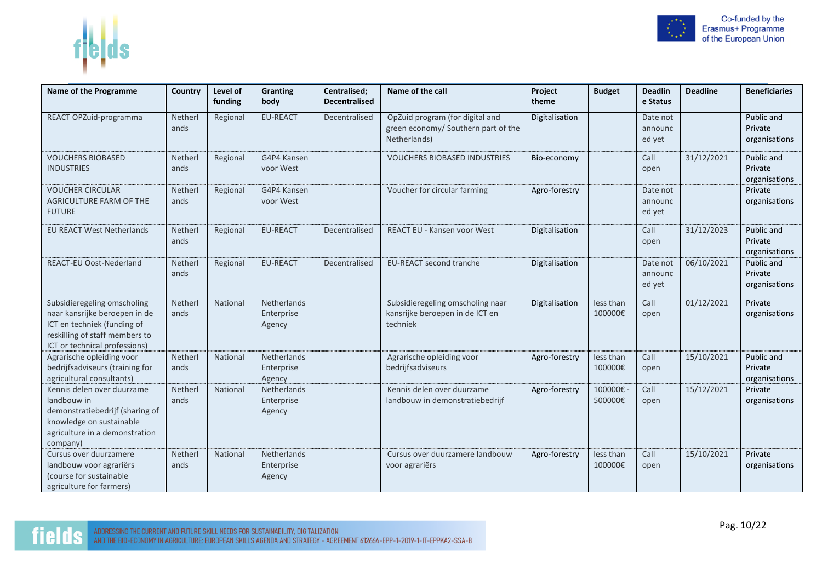



| Name of the Programme                                                                                                                                          | Country         | Level of<br>funding | Granting<br>body                    | Centralised;<br><b>Decentralised</b> | Name of the call                                                                       | Project<br>theme | <b>Budget</b>        | <b>Deadlin</b><br>e Status    | <b>Deadline</b> | <b>Beneficiaries</b>                   |
|----------------------------------------------------------------------------------------------------------------------------------------------------------------|-----------------|---------------------|-------------------------------------|--------------------------------------|----------------------------------------------------------------------------------------|------------------|----------------------|-------------------------------|-----------------|----------------------------------------|
| REACT OPZuid-programma                                                                                                                                         | Netherl<br>ands | Regional            | <b>EU-REACT</b>                     | Decentralised                        | OpZuid program (for digital and<br>green economy/ Southern part of the<br>Netherlands) | Digitalisation   |                      | Date not<br>announc<br>ed yet |                 | Public and<br>Private<br>organisations |
| <b>VOUCHERS BIOBASED</b><br><b>INDUSTRIES</b>                                                                                                                  | Netherl<br>ands | Regional            | G4P4 Kansen<br>voor West            |                                      | <b>VOUCHERS BIOBASED INDUSTRIES</b>                                                    | Bio-economy      |                      | Call<br>open                  | 31/12/2021      | Public and<br>Private<br>organisations |
| <b>VOUCHER CIRCULAR</b><br>AGRICULTURE FARM OF THE<br><b>FUTURE</b>                                                                                            | Netherl<br>ands | Regional            | G4P4 Kansen<br>voor West            |                                      | Voucher for circular farming                                                           | Agro-forestry    |                      | Date not<br>announc<br>ed yet |                 | Private<br>organisations               |
| <b>EU REACT West Netherlands</b>                                                                                                                               | Netherl<br>ands | Regional            | <b>EU-REACT</b>                     | Decentralised                        | <b>REACT EU - Kansen voor West</b>                                                     | Digitalisation   |                      | Call<br>open                  | 31/12/2023      | Public and<br>Private<br>organisations |
| <b>REACT-EU Oost-Nederland</b>                                                                                                                                 | Netherl<br>ands | Regional            | <b>EU-REACT</b>                     | Decentralised                        | <b>EU-REACT second tranche</b>                                                         | Digitalisation   |                      | Date not<br>announc<br>ed yet | 06/10/2021      | Public and<br>Private<br>organisations |
| Subsidieregeling omscholing<br>naar kansrijke beroepen in de<br>ICT en techniek (funding of<br>reskilling of staff members to<br>ICT or technical professions) | Netherl<br>ands | National            | Netherlands<br>Enterprise<br>Agency |                                      | Subsidieregeling omscholing naar<br>kansrijke beroepen in de ICT en<br>techniek        | Digitalisation   | less than<br>100000€ | Call<br>open                  | 01/12/2021      | Private<br>organisations               |
| Agrarische opleiding voor<br>bedrijfsadviseurs (training for<br>agricultural consultants)                                                                      | Netherl<br>ands | National            | Netherlands<br>Enterprise<br>Agency |                                      | Agrarische opleiding voor<br>bedrijfsadviseurs                                         | Agro-forestry    | less than<br>100000€ | Call<br>open                  | 15/10/2021      | Public and<br>Private<br>organisations |
| Kennis delen over duurzame<br>landbouw in<br>demonstratiebedrijf (sharing of<br>knowledge on sustainable<br>agriculture in a demonstration<br>company)         | Netherl<br>ands | National            | Netherlands<br>Enterprise<br>Agency |                                      | Kennis delen over duurzame<br>landbouw in demonstratiebedrijf                          | Agro-forestry    | 100000€-<br>500000€  | Call<br>open                  | 15/12/2021      | Private<br>organisations               |
| Cursus over duurzamere<br>landbouw voor agrariërs<br>(course for sustainable<br>agriculture for farmers)                                                       | Netherl<br>ands | National            | Netherlands<br>Enterprise<br>Agency |                                      | Cursus over duurzamere landbouw<br>voor agrariërs                                      | Agro-forestry    | less than<br>100000€ | Call<br>open                  | 15/10/2021      | Private<br>organisations               |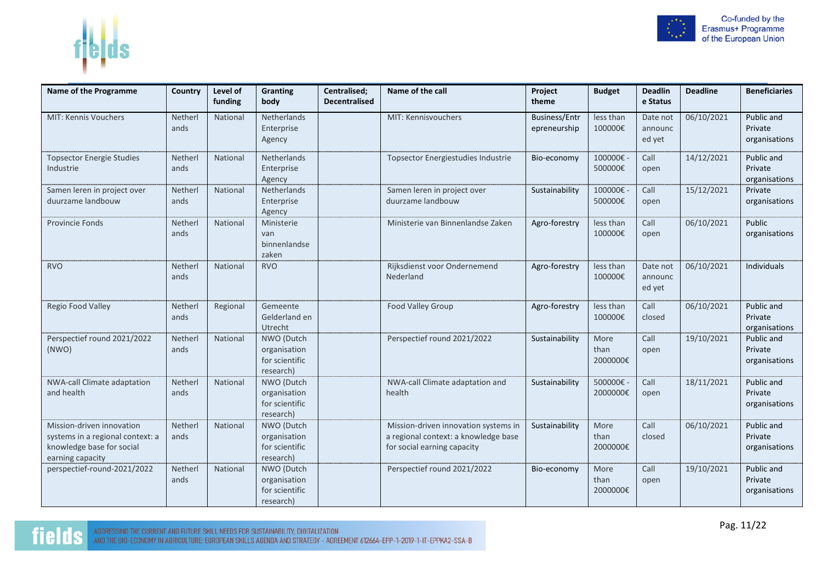

| Name of the Programme                                                                                          | Country         | Level of | <b>Granting</b>                                           | Centralised;         | Name of the call                                                                                            | Project                              | <b>Budget</b>            | <b>Deadlin</b>                | <b>Deadline</b> | <b>Beneficiaries</b>                   |
|----------------------------------------------------------------------------------------------------------------|-----------------|----------|-----------------------------------------------------------|----------------------|-------------------------------------------------------------------------------------------------------------|--------------------------------------|--------------------------|-------------------------------|-----------------|----------------------------------------|
|                                                                                                                |                 | funding  | body                                                      | <b>Decentralised</b> |                                                                                                             | theme                                |                          | e Status                      |                 |                                        |
| MIT: Kennis Vouchers                                                                                           | Netherl<br>ands | National | Netherlands<br>Enterprise<br>Agency                       |                      | MIT: Kennisvouchers                                                                                         | <b>Business/Entr</b><br>epreneurship | less than<br>100000€     | Date not<br>announc<br>ed yet | 06/10/2021      | Public and<br>Private<br>organisations |
| <b>Topsector Energie Studies</b><br>Industrie                                                                  | Netherl<br>ands | National | Netherlands<br>Enterprise<br>Agency                       |                      | <b>Topsector Energiestudies Industrie</b>                                                                   | Bio-economy                          | 100000€-<br>500000€      | Call<br>open                  | 14/12/2021      | Public and<br>Private<br>organisations |
| Samen leren in project over<br>duurzame landbouw                                                               | Netherl<br>ands | National | Netherlands<br>Enterprise<br>Agency                       |                      | Samen leren in project over<br>duurzame landbouw                                                            | Sustainability                       | 100000€<br>500000€       | Call<br>open                  | 15/12/2021      | Private<br>organisations               |
| <b>Provincie Fonds</b>                                                                                         | Netherl<br>ands | National | Ministerie<br>van<br>binnenlandse<br>zaken                |                      | Ministerie van Binnenlandse Zaken                                                                           | Agro-forestry                        | less than<br>100000€     | Call<br>open                  | 06/10/2021      | Public<br>organisations                |
| <b>RVO</b>                                                                                                     | Netherl<br>ands | National | <b>RVO</b>                                                |                      | Rijksdienst voor Ondernemend<br>Nederland                                                                   | Agro-forestry                        | less than<br>100000€     | Date not<br>announc<br>ed yet | 06/10/2021      | Individuals                            |
| Regio Food Valley                                                                                              | Netherl<br>ands | Regional | Gemeente<br>Gelderland en<br>Utrecht                      |                      | <b>Food Valley Group</b>                                                                                    | Agro-forestry                        | less than<br>100000€     | Call<br>closed                | 06/10/2021      | Public and<br>Private<br>organisations |
| Perspectief round 2021/2022<br>(NWO)                                                                           | Netherl<br>ands | National | NWO (Dutch<br>organisation<br>for scientific<br>research) |                      | Perspectief round 2021/2022                                                                                 | Sustainability                       | More<br>than<br>2000000€ | Call<br>open                  | 19/10/2021      | Public and<br>Private<br>organisations |
| NWA-call Climate adaptation<br>and health                                                                      | Netherl<br>ands | National | NWO (Dutch<br>organisation<br>for scientific<br>research) |                      | NWA-call Climate adaptation and<br>health                                                                   | Sustainability                       | 500000€-<br>2000000€     | Call<br>open                  | 18/11/2021      | Public and<br>Private<br>organisations |
| Mission-driven innovation<br>systems in a regional context: a<br>knowledge base for social<br>earning capacity | Netherl<br>ands | National | NWO (Dutch<br>organisation<br>for scientific<br>research) |                      | Mission-driven innovation systems in<br>a regional context: a knowledge base<br>for social earning capacity | Sustainability                       | More<br>than<br>2000000€ | Call<br>closed                | 06/10/2021      | Public and<br>Private<br>organisations |
| perspectief-round-2021/2022                                                                                    | Netherl<br>ands | National | NWO (Dutch<br>organisation<br>for scientific<br>research) |                      | Perspectief round 2021/2022                                                                                 | Bio-economy                          | More<br>than<br>2000000€ | Call<br>open                  | 19/10/2021      | Public and<br>Private<br>organisations |



 $f|b|ds$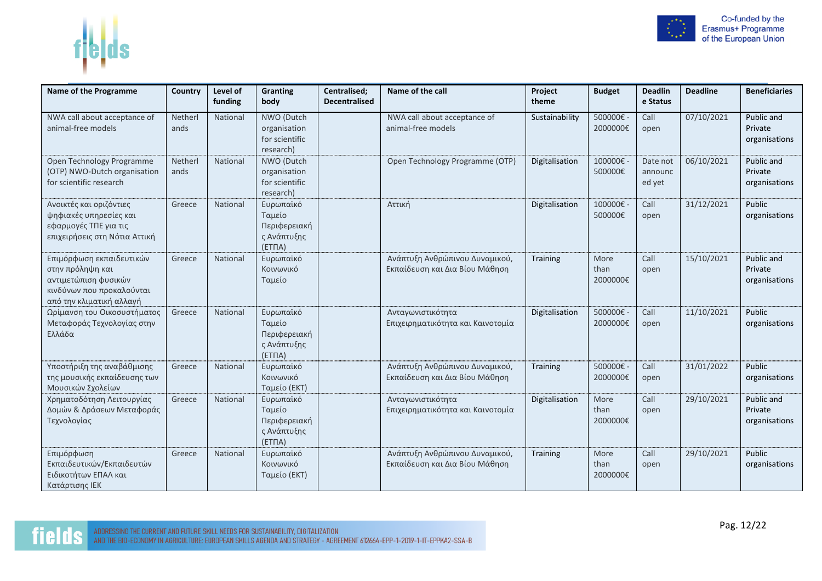

| Name of the Programme                                                                                                         | Country         | Level of<br>funding | Granting<br>body                                             | Centralised;<br><b>Decentralised</b> | Name of the call                                                 | Project<br>theme | <b>Budget</b>            | <b>Deadlin</b><br>e Status    | <b>Deadline</b> | <b>Beneficiaries</b>                   |
|-------------------------------------------------------------------------------------------------------------------------------|-----------------|---------------------|--------------------------------------------------------------|--------------------------------------|------------------------------------------------------------------|------------------|--------------------------|-------------------------------|-----------------|----------------------------------------|
| NWA call about acceptance of<br>animal-free models                                                                            | Netherl<br>ands | National            | NWO (Dutch<br>organisation<br>for scientific<br>research)    |                                      | NWA call about acceptance of<br>animal-free models               | Sustainability   | 500000€-<br>2000000€     | Call<br>open                  | 07/10/2021      | Public and<br>Private<br>organisations |
| Open Technology Programme<br>(OTP) NWO-Dutch organisation<br>for scientific research                                          | Netherl<br>ands | National            | NWO (Dutch<br>organisation<br>for scientific<br>research)    |                                      | Open Technology Programme (OTP)                                  | Digitalisation   | 100000€-<br>500000€      | Date not<br>announc<br>ed yet | 06/10/2021      | Public and<br>Private<br>organisations |
| Ανοικτές και οριζόντιες<br>ψηφιακές υπηρεσίες και<br>εφαρμογές ΤΠΕ για τις<br>επιχειρήσεις στη Νότια Αττική                   | Greece          | National            | Ευρωπαϊκό<br>Ταμείο<br>Περιφερειακή<br>ς Ανάπτυξης<br>(ETTA) |                                      | Αττική                                                           | Digitalisation   | 100000€ -<br>500000€     | Call<br>open                  | 31/12/2021      | Public<br>organisations                |
| Επιμόρφωση εκπαιδευτικών<br>στην πρόληψη και<br>αντιμετώπιση φυσικών<br>κινδύνων που προκαλούνται<br>από την κλιματική αλλαγή | Greece          | National            | Ευρωπαϊκό<br>Κοινωνικό<br>Ταμείο                             |                                      | Ανάπτυξη Ανθρώπινου Δυναμικού,<br>Εκπαίδευση και Δια Βίου Μάθηση | <b>Training</b>  | More<br>than<br>2000000€ | Call<br>open                  | 15/10/2021      | Public and<br>Private<br>organisations |
| Ωρίμανση του Οικοσυστήματος<br>Μεταφοράς Τεχνολογίας στην<br>Ελλάδα                                                           | Greece          | National            | Ευρωπαϊκό<br>Ταμείο<br>Περιφερειακή<br>ς Ανάπτυξης<br>(ETTA) |                                      | Ανταγωνιστικότητα<br>Επιχειρηματικότητα και Καινοτομία           | Digitalisation   | 500000€ -<br>2000000€    | Call<br>open                  | 11/10/2021      | Public<br>organisations                |
| Υποστήριξη της αναβάθμισης<br>της μουσικής εκπαίδευσης των<br>Μουσικών Σχολείων                                               | Greece          | National            | Ευρωπαϊκό<br>Κοινωνικό<br>Ταμείο (ΕΚΤ)                       |                                      | Ανάπτυξη Ανθρώπινου Δυναμικού,<br>Εκπαίδευση και Δια Βίου Μάθηση | Training         | 500000€ -<br>2000000€    | Call<br>open                  | 31/01/2022      | Public<br>organisations                |
| Χρηματοδότηση Λειτουργίας<br>Δομών & Δράσεων Μεταφοράς<br>Τεχνολογίας                                                         | Greece          | National            | Ευρωπαϊκό<br>Ταμείο<br>Περιφερειακή<br>ς Ανάπτυξης<br>(ETTA) |                                      | Ανταγωνιστικότητα<br>Επιχειρηματικότητα και Καινοτομία           | Digitalisation   | More<br>than<br>2000000€ | Call<br>open                  | 29/10/2021      | Public and<br>Private<br>organisations |
| Επιμόρφωση<br>Εκπαιδευτικών/Εκπαιδευτών<br>Ειδικοτήτων ΕΠΑΛ και<br>Κατάρτισης ΙΕΚ                                             | Greece          | National            | Ευρωπαϊκό<br>Κοινωνικό<br>Ταμείο (ΕΚΤ)                       |                                      | Ανάπτυξη Ανθρώπινου Δυναμικού,<br>Εκπαίδευση και Δια Βίου Μάθηση | Training         | More<br>than<br>2000000€ | Call<br>open                  | 29/10/2021      | Public<br>organisations                |

f<mark>ieļ</mark>ds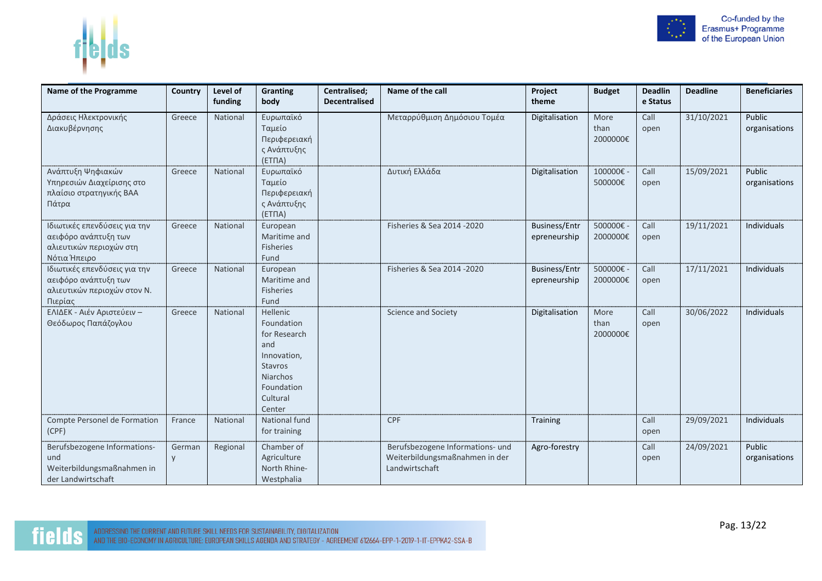

| Name of the Programme                                                                           | Country          | Level of<br>funding | <b>Granting</b><br>body                                                                                                        | Centralised;<br><b>Decentralised</b> | Name of the call                                                                     | Project<br>theme                     | <b>Budget</b>            | <b>Deadlin</b><br>e Status | <b>Deadline</b> | <b>Beneficiaries</b>           |
|-------------------------------------------------------------------------------------------------|------------------|---------------------|--------------------------------------------------------------------------------------------------------------------------------|--------------------------------------|--------------------------------------------------------------------------------------|--------------------------------------|--------------------------|----------------------------|-----------------|--------------------------------|
| Δράσεις Ηλεκτρονικής<br>Διακυβέρνησης                                                           | Greece           | National            | Ευρωπαϊκό<br>Ταμείο<br>Περιφερειακή<br>ς Ανάπτυξης<br>(ETTA)                                                                   |                                      | Μεταρρύθμιση Δημόσιου Τομέα                                                          | Digitalisation                       | More<br>than<br>2000000€ | Call<br>open               | 31/10/2021      | <b>Public</b><br>organisations |
| Ανάπτυξη Ψηφιακών<br>Υπηρεσιών Διαχείρισης στο<br>πλαίσιο στρατηγικής ΒΑΑ<br>Πάτρα              | Greece           | National            | Ευρωπαϊκό<br>Ταμείο<br>Περιφερειακή<br>ς Ανάπτυξης<br>(ETTA)                                                                   |                                      | Δυτική Ελλάδα                                                                        | Digitalisation                       | 100000€-<br>500000€      | Call<br>open               | 15/09/2021      | Public<br>organisations        |
| Ιδιωτικές επενδύσεις για την<br>αειφόρο ανάπτυξη των<br>αλιευτικών περιοχών στη<br>Νότια Ήπειρο | Greece           | National            | European<br>Maritime and<br>Fisheries<br>Fund                                                                                  |                                      | Fisheries & Sea 2014 -2020                                                           | <b>Business/Entr</b><br>epreneurship | 500000€ -<br>2000000€    | Call<br>open               | 19/11/2021      | Individuals                    |
| Ιδιωτικές επενδύσεις για την<br>αειφόρο ανάπτυξη των<br>αλιευτικών περιοχών στον Ν.<br>Πιερίας  | Greece           | National            | European<br>Maritime and<br>Fisheries<br>Fund                                                                                  |                                      | Fisheries & Sea 2014 - 2020                                                          | <b>Business/Entr</b><br>epreneurship | 500000€ -<br>2000000€    | Call<br>open               | 17/11/2021      | Individuals                    |
| ΕΛΙΔΕΚ - Αιέν Αριστεύειν -<br>Θεόδωρος Παπάζογλου                                               | Greece           | National            | <b>Hellenic</b><br>Foundation<br>for Research<br>and<br>Innovation,<br>Stavros<br>Niarchos<br>Foundation<br>Cultural<br>Center |                                      | Science and Society                                                                  | Digitalisation                       | More<br>than<br>2000000€ | Call<br>open               | 30/06/2022      | <b>Individuals</b>             |
| Compte Personel de Formation<br>(CPF)                                                           | France           | National            | National fund<br>for training                                                                                                  |                                      | <b>CPF</b>                                                                           | Training                             |                          | Call<br>open               | 29/09/2021      | Individuals                    |
| Berufsbezogene Informations-<br>und<br>Weiterbildungsmaßnahmen in<br>der Landwirtschaft         | German<br>$\vee$ | Regional            | Chamber of<br>Agriculture<br>North Rhine-<br>Westphalia                                                                        |                                      | Berufsbezogene Informations- und<br>Weiterbildungsmaßnahmen in der<br>Landwirtschaft | Agro-forestry                        |                          | Call<br>open               | 24/09/2021      | Public<br>organisations        |

fields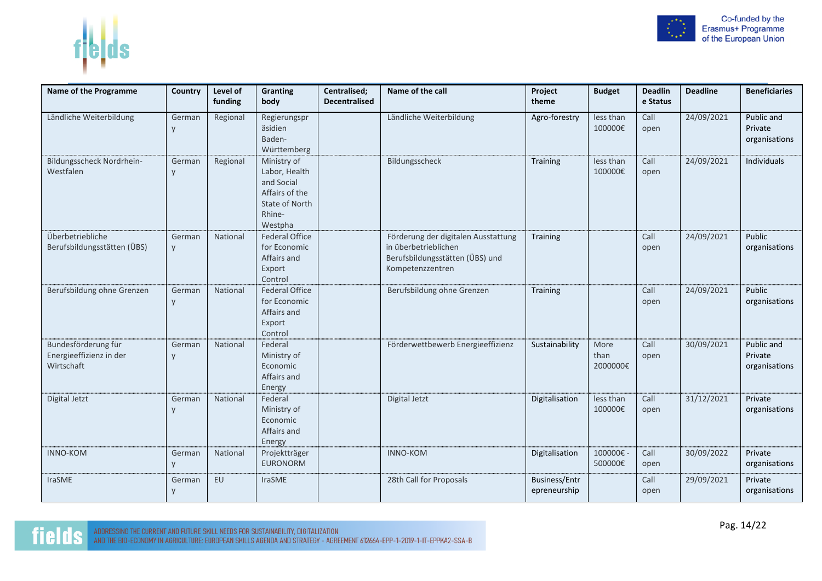



| Name of the Programme                                        | Country     | Level of<br>funding | Granting<br>body                                                                                    | Centralised;<br><b>Decentralised</b> | Name of the call                                                                                                   | Project<br>theme                     | <b>Budget</b>            | <b>Deadlin</b><br>e Status | <b>Deadline</b> | <b>Beneficiaries</b>                   |
|--------------------------------------------------------------|-------------|---------------------|-----------------------------------------------------------------------------------------------------|--------------------------------------|--------------------------------------------------------------------------------------------------------------------|--------------------------------------|--------------------------|----------------------------|-----------------|----------------------------------------|
| Ländliche Weiterbildung                                      | German<br>y | Regional            | Regierungspr<br>äsidien<br>Baden-<br>Württemberg                                                    |                                      | Ländliche Weiterbildung                                                                                            | Agro-forestry                        | less than<br>100000€     | Call<br>open               | 24/09/2021      | Public and<br>Private<br>organisations |
| Bildungsscheck Nordrhein-<br>Westfalen                       | German<br>y | Regional            | Ministry of<br>Labor, Health<br>and Social<br>Affairs of the<br>State of North<br>Rhine-<br>Westpha |                                      | Bildungsscheck                                                                                                     | <b>Training</b>                      | less than<br>100000€     | Call<br>open               | 24/09/2021      | Individuals                            |
| Überbetriebliche<br>Berufsbildungsstätten (ÜBS)              | German<br>y | National            | <b>Federal Office</b><br>for Economic<br>Affairs and<br>Export<br>Control                           |                                      | Förderung der digitalen Ausstattung<br>in überbetrieblichen<br>Berufsbildungsstätten (ÜBS) und<br>Kompetenzzentren | <b>Training</b>                      |                          | Call<br>open               | 24/09/2021      | Public<br>organisations                |
| Berufsbildung ohne Grenzen                                   | German<br>y | National            | <b>Federal Office</b><br>for Economic<br>Affairs and<br>Export<br>Control                           |                                      | Berufsbildung ohne Grenzen                                                                                         | <b>Training</b>                      |                          | Call<br>open               | 24/09/2021      | Public<br>organisations                |
| Bundesförderung für<br>Energieeffizienz in der<br>Wirtschaft | German<br>y | National            | Federal<br>Ministry of<br>Economic<br>Affairs and<br>Energy                                         |                                      | Förderwettbewerb Energieeffizienz                                                                                  | Sustainability                       | More<br>than<br>2000000€ | Call<br>open               | 30/09/2021      | Public and<br>Private<br>organisations |
| Digital Jetzt                                                | German<br>y | National            | Federal<br>Ministry of<br>Economic<br>Affairs and<br>Energy                                         |                                      | Digital Jetzt                                                                                                      | Digitalisation                       | less than<br>100000€     | Call<br>open               | 31/12/2021      | Private<br>organisations               |
| <b>INNO-KOM</b>                                              | German<br>y | National            | Projektträger<br><b>EURONORM</b>                                                                    |                                      | <b>INNO-KOM</b>                                                                                                    | Digitalisation                       | 100000€-<br>500000€      | Call<br>open               | 30/09/2022      | Private<br>organisations               |
| IraSME                                                       | German<br>y | EU                  | <b>IraSME</b>                                                                                       |                                      | 28th Call for Proposals                                                                                            | <b>Business/Entr</b><br>epreneurship |                          | Call<br>open               | 29/09/2021      | Private<br>organisations               |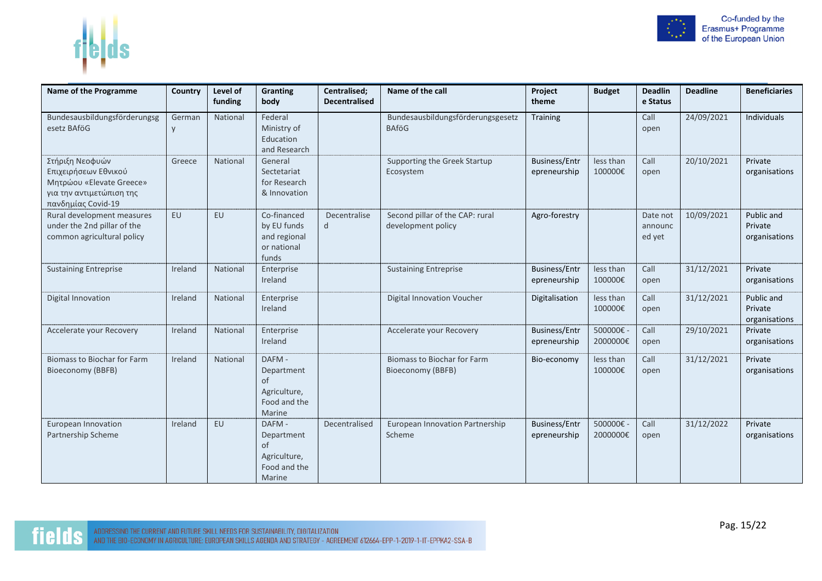

| <b>Name of the Programme</b>                                                                                          | Country   | Level of | <b>Granting</b>                                                      | Centralised;         | Name of the call                                        | Project                              | <b>Budget</b>        | <b>Deadlin</b>                | <b>Deadline</b> | <b>Beneficiaries</b>                   |
|-----------------------------------------------------------------------------------------------------------------------|-----------|----------|----------------------------------------------------------------------|----------------------|---------------------------------------------------------|--------------------------------------|----------------------|-------------------------------|-----------------|----------------------------------------|
|                                                                                                                       |           | funding  | body                                                                 | <b>Decentralised</b> |                                                         | theme                                |                      | e Status                      |                 |                                        |
| Bundesausbildungsförderungsg<br>esetz BAföG                                                                           | German    | National | Federal<br>Ministry of<br>Education<br>and Research                  |                      | Bundesausbildungsförderungsgesetz<br><b>BAföG</b>       | Training                             |                      | Call<br>open                  | 24/09/2021      | Individuals                            |
| Στήριξη Νεοφυών<br>Επιχειρήσεων Εθνικού<br>Μητρώου «Elevate Greece»<br>για την αντιμετώπιση της<br>πανδημίας Covid-19 | Greece    | National | General<br>Sectetariat<br>for Research<br>& Innovation               |                      | Supporting the Greek Startup<br>Ecosystem               | <b>Business/Entr</b><br>epreneurship | less than<br>100000€ | Call<br>open                  | 20/10/2021      | Private<br>organisations               |
| Rural development measures<br>under the 2nd pillar of the<br>common agricultural policy                               | <b>EU</b> | EU       | Co-financed<br>by EU funds<br>and regional<br>or national<br>funds   | Decentralise<br>d    | Second pillar of the CAP: rural<br>development policy   | Agro-forestry                        |                      | Date not<br>announc<br>ed yet | 10/09/2021      | Public and<br>Private<br>organisations |
| <b>Sustaining Entreprise</b>                                                                                          | Ireland   | National | Enterprise<br>Ireland                                                |                      | <b>Sustaining Entreprise</b>                            | <b>Business/Entr</b><br>epreneurship | less than<br>100000€ | Call<br>open                  | 31/12/2021      | Private<br>organisations               |
| Digital Innovation                                                                                                    | Ireland   | National | Enterprise<br>Ireland                                                |                      | <b>Digital Innovation Voucher</b>                       | Digitalisation                       | less than<br>100000€ | Call<br>open                  | 31/12/2021      | Public and<br>Private<br>organisations |
| Accelerate your Recovery                                                                                              | Ireland   | National | Enterprise<br>Ireland                                                |                      | Accelerate your Recovery                                | <b>Business/Entr</b><br>epreneurship | 500000€-<br>2000000€ | Call<br>open                  | 29/10/2021      | Private<br>organisations               |
| <b>Biomass to Biochar for Farm</b><br>Bioeconomy (BBFB)                                                               | Ireland   | National | DAFM -<br>Department<br>of<br>Agriculture,<br>Food and the<br>Marine |                      | <b>Biomass to Biochar for Farm</b><br>Bioeconomy (BBFB) | Bio-economy                          | less than<br>100000€ | Call<br>open                  | 31/12/2021      | Private<br>organisations               |
| European Innovation<br>Partnership Scheme                                                                             | Ireland   | EU       | DAFM-<br>Department<br>of<br>Agriculture,<br>Food and the<br>Marine  | Decentralised        | European Innovation Partnership<br>Scheme               | <b>Business/Entr</b><br>epreneurship | 500000€-<br>2000000€ | Call<br>open                  | 31/12/2022      | Private<br>organisations               |

 $f|b|ds$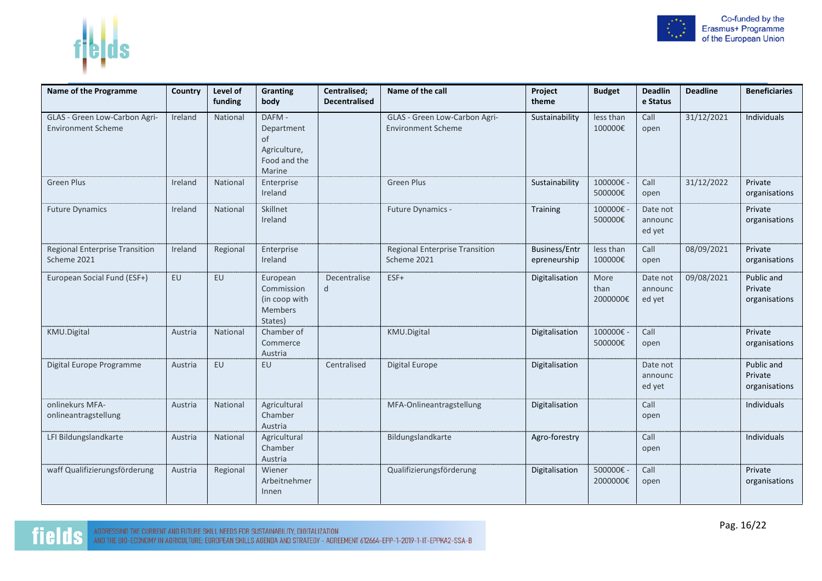

| <b>Name of the Programme</b>                               | Country | Level of<br>funding | <b>Granting</b><br>body                                             | Centralised;<br><b>Decentralised</b> | Name of the call                                           | Project<br>theme                     | <b>Budget</b>            | <b>Deadlin</b><br>e Status    | <b>Deadline</b> | <b>Beneficiaries</b>                   |
|------------------------------------------------------------|---------|---------------------|---------------------------------------------------------------------|--------------------------------------|------------------------------------------------------------|--------------------------------------|--------------------------|-------------------------------|-----------------|----------------------------------------|
| GLAS - Green Low-Carbon Agri-<br><b>Environment Scheme</b> | Ireland | National            | DAFM-<br>Department<br>of<br>Agriculture,<br>Food and the<br>Marine |                                      | GLAS - Green Low-Carbon Agri-<br><b>Environment Scheme</b> | Sustainability                       | less than<br>100000€     | Call<br>open                  | 31/12/2021      | Individuals                            |
| <b>Green Plus</b>                                          | Ireland | National            | Enterprise<br>Ireland                                               |                                      | <b>Green Plus</b>                                          | Sustainability                       | 100000€<br>500000€       | Call<br>open                  | 31/12/2022      | Private<br>organisations               |
| <b>Future Dynamics</b>                                     | Ireland | National            | Skillnet<br>Ireland                                                 |                                      | Future Dynamics -                                          | Training                             | 100000€<br>500000€       | Date not<br>announc<br>ed yet |                 | Private<br>organisations               |
| <b>Regional Enterprise Transition</b><br>Scheme 2021       | Ireland | Regional            | Enterprise<br>Ireland                                               |                                      | <b>Regional Enterprise Transition</b><br>Scheme 2021       | <b>Business/Entr</b><br>epreneurship | less than<br>100000€     | Call<br>open                  | 08/09/2021      | Private<br>organisations               |
| European Social Fund (ESF+)                                | EU      | <b>EU</b>           | European<br>Commission<br>(in coop with<br>Members<br>States)       | Decentralise<br>d                    | ESF+                                                       | Digitalisation                       | More<br>than<br>2000000€ | Date not<br>announc<br>ed yet | 09/08/2021      | Public and<br>Private<br>organisations |
| KMU.Digital                                                | Austria | National            | Chamber of<br>Commerce<br>Austria                                   |                                      | KMU.Digital                                                | Digitalisation                       | 100000€<br>500000€       | Call<br>open                  |                 | Private<br>organisations               |
| Digital Europe Programme                                   | Austria | <b>EU</b>           | <b>EU</b>                                                           | Centralised                          | <b>Digital Europe</b>                                      | Digitalisation                       |                          | Date not<br>announc<br>ed yet |                 | Public and<br>Private<br>organisations |
| onlinekurs MFA-<br>onlineantragstellung                    | Austria | National            | Agricultural<br>Chamber<br>Austria                                  |                                      | MFA-Onlineantragstellung                                   | Digitalisation                       |                          | Call<br>open                  |                 | Individuals                            |
| LFI Bildungslandkarte                                      | Austria | National            | Agricultural<br>Chamber<br>Austria                                  |                                      | Bildungslandkarte                                          | Agro-forestry                        |                          | Call<br>open                  |                 | Individuals                            |
| waff Qualifizierungsförderung                              | Austria | Regional            | Wiener<br>Arbeitnehmer<br>Innen                                     |                                      | Qualifizierungsförderung                                   | Digitalisation                       | 500000€<br>2000000€      | Call<br>open                  |                 | Private<br>organisations               |



fields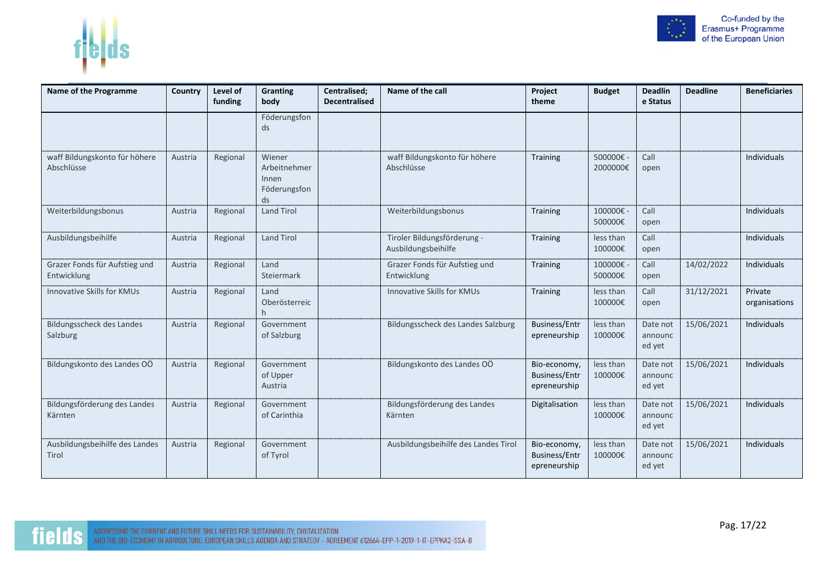

| Name of the Programme                        | Country | Level of<br>funding | Granting<br>body                                      | Centralised;<br><b>Decentralised</b> | Name of the call                                   | Project<br>theme                                     | <b>Budget</b>        | <b>Deadlin</b><br>e Status    | <b>Deadline</b> | <b>Beneficiaries</b>     |
|----------------------------------------------|---------|---------------------|-------------------------------------------------------|--------------------------------------|----------------------------------------------------|------------------------------------------------------|----------------------|-------------------------------|-----------------|--------------------------|
|                                              |         |                     | Föderungsfon<br>ds                                    |                                      |                                                    |                                                      |                      |                               |                 |                          |
| waff Bildungskonto für höhere<br>Abschlüsse  | Austria | Regional            | Wiener<br>Arbeitnehmer<br>Innen<br>Föderungsfon<br>ds |                                      | waff Bildungskonto für höhere<br>Abschlüsse        | Training                                             | 500000€-<br>2000000€ | Call<br>open                  |                 | Individuals              |
| Weiterbildungsbonus                          | Austria | Regional            | <b>Land Tirol</b>                                     |                                      | Weiterbildungsbonus                                | Training                                             | 100000€-<br>500000€  | Call<br>open                  |                 | Individuals              |
| Ausbildungsbeihilfe                          | Austria | Regional            | <b>Land Tirol</b>                                     |                                      | Tiroler Bildungsförderung -<br>Ausbildungsbeihilfe | Training                                             | less than<br>100000€ | Call<br>open                  |                 | <b>Individuals</b>       |
| Grazer Fonds für Aufstieg und<br>Entwicklung | Austria | Regional            | Land<br>Steiermark                                    |                                      | Grazer Fonds für Aufstieg und<br>Entwicklung       | Training                                             | 100000€<br>500000€   | Call<br>open                  | 14/02/2022      | Individuals              |
| Innovative Skills for KMUs                   | Austria | Regional            | Land<br>Oberösterreic                                 |                                      | Innovative Skills for KMUs                         | Training                                             | less than<br>100000€ | Call<br>open                  | 31/12/2021      | Private<br>organisations |
| Bildungsscheck des Landes<br>Salzburg        | Austria | Regional            | Government<br>of Salzburg                             |                                      | Bildungsscheck des Landes Salzburg                 | <b>Business/Entr</b><br>epreneurship                 | less than<br>100000€ | Date not<br>announc<br>ed yet | 15/06/2021      | Individuals              |
| Bildungskonto des Landes OÖ                  | Austria | Regional            | Government<br>of Upper<br>Austria                     |                                      | Bildungskonto des Landes OÖ                        | Bio-economy,<br><b>Business/Entr</b><br>epreneurship | less than<br>100000€ | Date not<br>announc<br>ed yet | 15/06/2021      | <b>Individuals</b>       |
| Bildungsförderung des Landes<br>Kärnten      | Austria | Regional            | Government<br>of Carinthia                            |                                      | Bildungsförderung des Landes<br>Kärnten            | Digitalisation                                       | less than<br>100000€ | Date not<br>announc<br>ed yet | 15/06/2021      | <b>Individuals</b>       |
| Ausbildungsbeihilfe des Landes<br>Tirol      | Austria | Regional            | Government<br>of Tyrol                                |                                      | Ausbildungsbeihilfe des Landes Tirol               | Bio-economy,<br><b>Business/Entr</b><br>epreneurship | less than<br>100000€ | Date not<br>announc<br>ed yet | 15/06/2021      | Individuals              |

 $f|b|ds$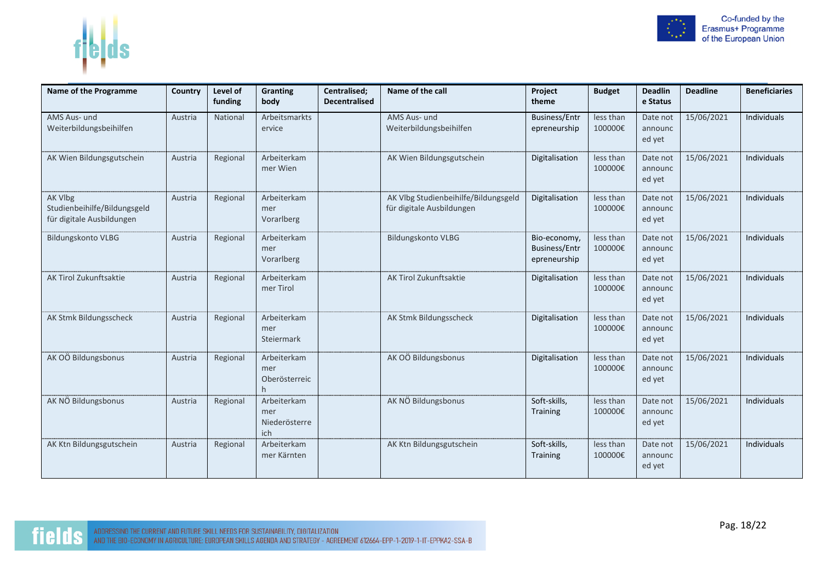



|  | Co-funded by the<br>Erasmus+ Programme<br>of the European Union |
|--|-----------------------------------------------------------------|
|  |                                                                 |

 $\sim$   $\sim$   $\sim$  $\sim$ 

| Name of the Programme                                                | Country | Level of<br>funding | Granting<br>body                           | Centralised;<br><b>Decentralised</b> | Name of the call                                                  | Project<br>theme                                     | <b>Budget</b>        | <b>Deadlin</b><br>e Status    | <b>Deadline</b> | <b>Beneficiaries</b> |
|----------------------------------------------------------------------|---------|---------------------|--------------------------------------------|--------------------------------------|-------------------------------------------------------------------|------------------------------------------------------|----------------------|-------------------------------|-----------------|----------------------|
| AMS Aus- und<br>Weiterbildungsbeihilfen                              | Austria | National            | Arbeitsmarkts<br>ervice                    |                                      | AMS Aus- und<br>Weiterbildungsbeihilfen                           | <b>Business/Entr</b><br>epreneurship                 | less than<br>100000€ | Date not<br>announc<br>ed yet | 15/06/2021      | Individuals          |
| AK Wien Bildungsgutschein                                            | Austria | Regional            | Arbeiterkam<br>mer Wien                    |                                      | AK Wien Bildungsgutschein                                         | Digitalisation                                       | less than<br>100000€ | Date not<br>announc<br>ed yet | 15/06/2021      | Individuals          |
| AK Vlbg<br>Studienbeihilfe/Bildungsgeld<br>für digitale Ausbildungen | Austria | Regional            | Arbeiterkam<br>mer<br>Vorarlberg           |                                      | AK Vlbg Studienbeihilfe/Bildungsgeld<br>für digitale Ausbildungen | Digitalisation                                       | less than<br>100000€ | Date not<br>announc<br>ed yet | 15/06/2021      | Individuals          |
| <b>Bildungskonto VLBG</b>                                            | Austria | Regional            | Arbeiterkam<br>mer<br>Vorarlberg           |                                      | <b>Bildungskonto VLBG</b>                                         | Bio-economy,<br><b>Business/Entr</b><br>epreneurship | less than<br>100000€ | Date not<br>announc<br>ed yet | 15/06/2021      | Individuals          |
| AK Tirol Zukunftsaktie                                               | Austria | Regional            | Arbeiterkam<br>mer Tirol                   |                                      | AK Tirol Zukunftsaktie                                            | Digitalisation                                       | less than<br>100000€ | Date not<br>announc<br>ed yet | 15/06/2021      | Individuals          |
| AK Stmk Bildungsscheck                                               | Austria | Regional            | Arbeiterkam<br>mer<br>Steiermark           |                                      | AK Stmk Bildungsscheck                                            | Digitalisation                                       | less than<br>100000€ | Date not<br>announc<br>ed yet | 15/06/2021      | Individuals          |
| AK OÖ Bildungsbonus                                                  | Austria | Regional            | Arbeiterkam<br>mer<br>Oberösterreic<br>h.  |                                      | AK OÖ Bildungsbonus                                               | Digitalisation                                       | less than<br>100000€ | Date not<br>announc<br>ed yet | 15/06/2021      | Individuals          |
| AK NÖ Bildungsbonus                                                  | Austria | Regional            | Arbeiterkam<br>mer<br>Niederösterre<br>ich |                                      | AK NÖ Bildungsbonus                                               | Soft-skills,<br><b>Training</b>                      | less than<br>100000€ | Date not<br>announc<br>ed yet | 15/06/2021      | Individuals          |
| AK Ktn Bildungsgutschein                                             | Austria | Regional            | Arbeiterkam<br>mer Kärnten                 |                                      | AK Ktn Bildungsgutschein                                          | Soft-skills,<br>Training                             | less than<br>100000€ | Date not<br>announc<br>ed yet | 15/06/2021      | Individuals          |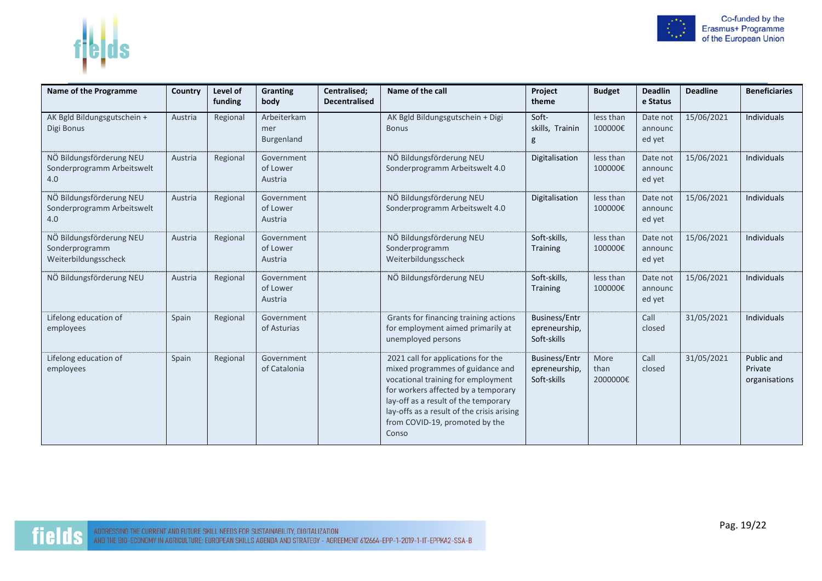



| Name of the Programme                                              | Country | Level of<br>funding | Granting<br>body                  | Centralised;<br><b>Decentralised</b> | Name of the call                                                                                                                                                                                                                                                                     | Project<br>theme                                     | <b>Budget</b>            | <b>Deadlin</b><br>e Status    | <b>Deadline</b> | <b>Beneficiaries</b>                   |
|--------------------------------------------------------------------|---------|---------------------|-----------------------------------|--------------------------------------|--------------------------------------------------------------------------------------------------------------------------------------------------------------------------------------------------------------------------------------------------------------------------------------|------------------------------------------------------|--------------------------|-------------------------------|-----------------|----------------------------------------|
| AK Bgld Bildungsgutschein +<br>Digi Bonus                          | Austria | Regional            | Arbeiterkam<br>mer<br>Burgenland  |                                      | AK Bgld Bildungsgutschein + Digi<br><b>Bonus</b>                                                                                                                                                                                                                                     | Soft-<br>skills, Trainin<br>g                        | less than<br>100000€     | Date not<br>announc<br>ed yet | 15/06/2021      | Individuals                            |
| NÖ Bildungsförderung NEU<br>Sonderprogramm Arbeitswelt<br>4.0      | Austria | Regional            | Government<br>of Lower<br>Austria |                                      | NÖ Bildungsförderung NEU<br>Sonderprogramm Arbeitswelt 4.0                                                                                                                                                                                                                           | Digitalisation                                       | less than<br>100000€     | Date not<br>announc<br>ed yet | 15/06/2021      | <b>Individuals</b>                     |
| NÖ Bildungsförderung NEU<br>Sonderprogramm Arbeitswelt<br>4.0      | Austria | Regional            | Government<br>of Lower<br>Austria |                                      | NÖ Bildungsförderung NEU<br>Sonderprogramm Arbeitswelt 4.0                                                                                                                                                                                                                           | Digitalisation                                       | less than<br>100000€     | Date not<br>announc<br>ed yet | 15/06/2021      | <b>Individuals</b>                     |
| NÖ Bildungsförderung NEU<br>Sonderprogramm<br>Weiterbildungsscheck | Austria | Regional            | Government<br>of Lower<br>Austria |                                      | NÖ Bildungsförderung NEU<br>Sonderprogramm<br>Weiterbildungsscheck                                                                                                                                                                                                                   | Soft-skills.<br><b>Training</b>                      | less than<br>100000€     | Date not<br>announc<br>ed yet | 15/06/2021      | <b>Individuals</b>                     |
| NÖ Bildungsförderung NEU                                           | Austria | Regional            | Government<br>of Lower<br>Austria |                                      | NÖ Bildungsförderung NEU                                                                                                                                                                                                                                                             | Soft-skills,<br>Training                             | less than<br>100000€     | Date not<br>announc<br>ed yet | 15/06/2021      | Individuals                            |
| Lifelong education of<br>employees                                 | Spain   | Regional            | Government<br>of Asturias         |                                      | Grants for financing training actions<br>for employment aimed primarily at<br>unemployed persons                                                                                                                                                                                     | <b>Business/Entr</b><br>epreneurship,<br>Soft-skills |                          | Call<br>closed                | 31/05/2021      | <b>Individuals</b>                     |
| Lifelong education of<br>employees                                 | Spain   | Regional            | Government<br>of Catalonia        |                                      | 2021 call for applications for the<br>mixed programmes of guidance and<br>vocational training for employment<br>for workers affected by a temporary<br>lay-off as a result of the temporary<br>lay-offs as a result of the crisis arising<br>from COVID-19, promoted by the<br>Conso | <b>Business/Entr</b><br>epreneurship,<br>Soft-skills | More<br>than<br>2000000€ | Call<br>closed                | 31/05/2021      | Public and<br>Private<br>organisations |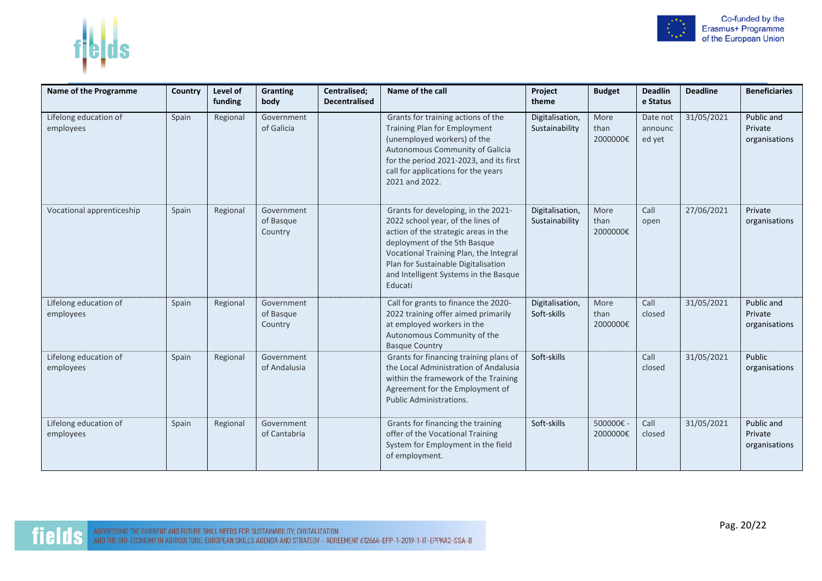



| Name of the Programme              | Country | Level of<br>funding | Granting<br>body                   | Centralised;<br><b>Decentralised</b> | Name of the call                                                                                                                                                                                                                                                                      | Project<br>theme                  | <b>Budget</b>            | <b>Deadlin</b><br>e Status    | <b>Deadline</b> | <b>Beneficiaries</b>                   |
|------------------------------------|---------|---------------------|------------------------------------|--------------------------------------|---------------------------------------------------------------------------------------------------------------------------------------------------------------------------------------------------------------------------------------------------------------------------------------|-----------------------------------|--------------------------|-------------------------------|-----------------|----------------------------------------|
| Lifelong education of<br>employees | Spain   | Regional            | Government<br>of Galicia           |                                      | Grants for training actions of the<br>Training Plan for Employment<br>(unemployed workers) of the<br>Autonomous Community of Galicia<br>for the period 2021-2023, and its first<br>call for applications for the years<br>2021 and 2022.                                              | Digitalisation,<br>Sustainability | More<br>than<br>2000000€ | Date not<br>announc<br>ed yet | 31/05/2021      | Public and<br>Private<br>organisations |
| Vocational apprenticeship          | Spain   | Regional            | Government<br>of Basque<br>Country |                                      | Grants for developing, in the 2021-<br>2022 school year, of the lines of<br>action of the strategic areas in the<br>deployment of the 5th Basque<br>Vocational Training Plan, the Integral<br>Plan for Sustainable Digitalisation<br>and Intelligent Systems in the Basque<br>Educati | Digitalisation,<br>Sustainability | More<br>than<br>2000000€ | Call<br>open                  | 27/06/2021      | Private<br>organisations               |
| Lifelong education of<br>employees | Spain   | Regional            | Government<br>of Basque<br>Country |                                      | Call for grants to finance the 2020-<br>2022 training offer aimed primarily<br>at employed workers in the<br>Autonomous Community of the<br><b>Basque Country</b>                                                                                                                     | Digitalisation,<br>Soft-skills    | More<br>than<br>2000000€ | Call<br>closed                | 31/05/2021      | Public and<br>Private<br>organisations |
| Lifelong education of<br>employees | Spain   | Regional            | Government<br>of Andalusia         |                                      | Grants for financing training plans of<br>the Local Administration of Andalusia<br>within the framework of the Training<br>Agreement for the Employment of<br><b>Public Administrations.</b>                                                                                          | Soft-skills                       |                          | Call<br>closed                | 31/05/2021      | Public<br>organisations                |
| Lifelong education of<br>employees | Spain   | Regional            | Government<br>of Cantabria         |                                      | Grants for financing the training<br>offer of the Vocational Training<br>System for Employment in the field<br>of employment.                                                                                                                                                         | Soft-skills                       | 500000€-<br>2000000€     | Call<br>closed                | 31/05/2021      | Public and<br>Private<br>organisations |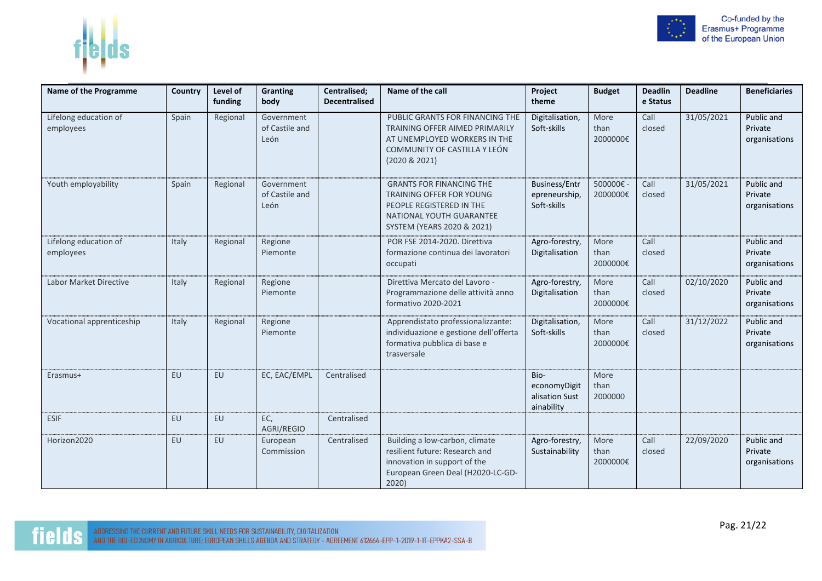

| n |  |
|---|--|
|---|--|

| Name of the Programme              | Country | Level of<br>funding | <b>Granting</b><br>body              | Centralised;<br><b>Decentralised</b> | Name of the call                                                                                                                                   | Project<br>theme                                     | <b>Budget</b>            | <b>Deadlin</b><br>e Status | <b>Deadline</b> | <b>Beneficiaries</b>                   |
|------------------------------------|---------|---------------------|--------------------------------------|--------------------------------------|----------------------------------------------------------------------------------------------------------------------------------------------------|------------------------------------------------------|--------------------------|----------------------------|-----------------|----------------------------------------|
| Lifelong education of<br>employees | Spain   | Regional            | Government<br>of Castile and<br>León |                                      | PUBLIC GRANTS FOR FINANCING THE<br>TRAINING OFFER AIMED PRIMARILY<br>AT UNEMPLOYED WORKERS IN THE<br>COMMUNITY OF CASTILLA Y LEÓN<br>(2020 & 2021) | Digitalisation,<br>Soft-skills                       | More<br>than<br>2000000€ | Call<br>closed             | 31/05/2021      | Public and<br>Private<br>organisations |
| Youth employability                | Spain   | Regional            | Government<br>of Castile and<br>León |                                      | <b>GRANTS FOR FINANCING THE</b><br>TRAINING OFFER FOR YOUNG<br>PEOPLE REGISTERED IN THE<br>NATIONAL YOUTH GUARANTEE<br>SYSTEM (YEARS 2020 & 2021)  | <b>Business/Entr</b><br>epreneurship,<br>Soft-skills | 500000€ -<br>2000000€    | Call<br>closed             | 31/05/2021      | Public and<br>Private<br>organisations |
| Lifelong education of<br>employees | Italy   | Regional            | Regione<br>Piemonte                  |                                      | POR FSE 2014-2020. Direttiva<br>formazione continua dei lavoratori<br>occupati                                                                     | Agro-forestry,<br>Digitalisation                     | More<br>than<br>2000000€ | Call<br>closed             |                 | Public and<br>Private<br>organisations |
| <b>Labor Market Directive</b>      | Italy   | Regional            | Regione<br>Piemonte                  |                                      | Direttiva Mercato del Lavoro -<br>Programmazione delle attività anno<br>formativo 2020-2021                                                        | Agro-forestry,<br>Digitalisation                     | More<br>than<br>2000000€ | Call<br>closed             | 02/10/2020      | Public and<br>Private<br>organisations |
| Vocational apprenticeship          | Italy   | Regional            | Regione<br>Piemonte                  |                                      | Apprendistato professionalizzante:<br>individuazione e gestione dell'offerta<br>formativa pubblica di base e<br>trasversale                        | Digitalisation,<br>Soft-skills                       | More<br>than<br>2000000€ | Call<br>closed             | 31/12/2022      | Public and<br>Private<br>organisations |
| Erasmus+                           | EU      | EU                  | EC, EAC/EMPL                         | Centralised                          |                                                                                                                                                    | Bio-<br>economyDigit<br>alisation Sust<br>ainability | More<br>than<br>2000000  |                            |                 |                                        |
| <b>ESIF</b>                        | EU      | EU                  | EC,<br>AGRI/REGIO                    | Centralised                          |                                                                                                                                                    |                                                      |                          |                            |                 |                                        |
| Horizon2020                        | EU      | EU                  | European<br>Commission               | Centralised                          | Building a low-carbon, climate<br>resilient future: Research and<br>innovation in support of the<br>European Green Deal (H2020-LC-GD-<br>2020      | Agro-forestry,<br>Sustainability                     | More<br>than<br>2000000€ | Call<br>closed             | 22/09/2020      | Public and<br>Private<br>organisations |